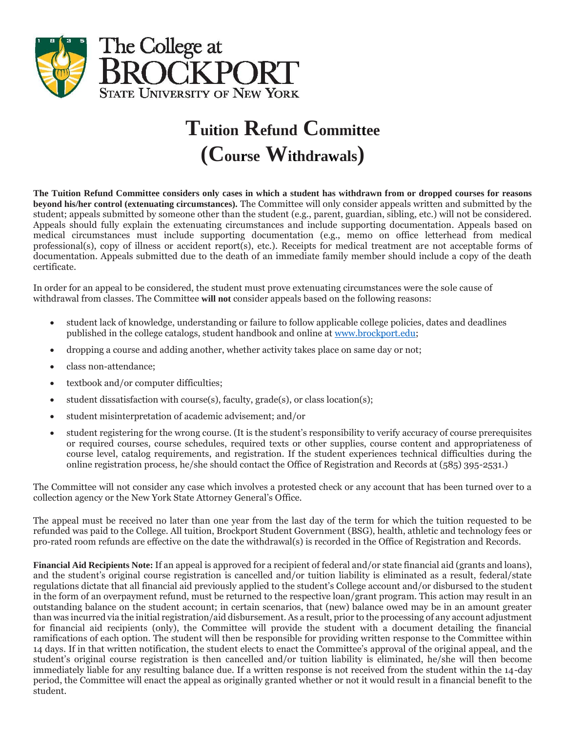

## **Tuition Refund Committee (Course Withdrawals)**

**The Tuition Refund Committee considers only cases in which a student has withdrawn from or dropped courses for reasons beyond his/her control (extenuating circumstances).** The Committee will only consider appeals written and submitted by the student; appeals submitted by someone other than the student (e.g., parent, guardian, sibling, etc.) will not be considered. Appeals should fully explain the extenuating circumstances and include supporting documentation. Appeals based on medical circumstances must include supporting documentation (e.g., memo on office letterhead from medical professional(s), copy of illness or accident report(s), etc.). Receipts for medical treatment are not acceptable forms of documentation. Appeals submitted due to the death of an immediate family member should include a copy of the death certificate.

In order for an appeal to be considered, the student must prove extenuating circumstances were the sole cause of withdrawal from classes. The Committee **will not** consider appeals based on the following reasons:

- student lack of knowledge, understanding or failure to follow applicable college policies, dates and deadlines published in the college catalogs, student handbook and online at [www.brockport.edu;](http://www.brockport.edu/)
- dropping a course and adding another, whether activity takes place on same day or not;
- class non-attendance;
- textbook and/or computer difficulties;
- student dissatisfaction with course(s), faculty, grade(s), or class location(s);
- student misinterpretation of academic advisement; and/or
- student registering for the wrong course. (It is the student's responsibility to verify accuracy of course prerequisites or required courses, course schedules, required texts or other supplies, course content and appropriateness of course level, catalog requirements, and registration. If the student experiences technical difficulties during the online registration process, he/she should contact the Office of Registration and Records at (585) 395-2531.)

The Committee will not consider any case which involves a protested check or any account that has been turned over to a collection agency or the New York State Attorney General's Office.

The appeal must be received no later than one year from the last day of the term for which the tuition requested to be refunded was paid to the College. All tuition, Brockport Student Government (BSG), health, athletic and technology fees or pro-rated room refunds are effective on the date the withdrawal(s) is recorded in the Office of Registration and Records.

 and the student's original course registration is cancelled and/or tuition liability is eliminated as a result, federal/state 14 days. If in that written notification, the student elects to enact the Committee's approval of the original appeal, and the student's original course registration is then cancelled and/or tuition liability is eliminated, he/she will then become **Financial Aid Recipients Note:** If an appeal is approved for a recipient of federal and/or state financial aid (grants and loans), regulations dictate that all financial aid previously applied to the student's College account and/or disbursed to the student in the form of an overpayment refund, must be returned to the respective loan/grant program. This action may result in an outstanding balance on the student account; in certain scenarios, that (new) balance owed may be in an amount greater than was incurred via the initial registration/aid disbursement. As a result, prior to the processing of any account adjustment for financial aid recipients (only), the Committee will provide the student with a document detailing the financial ramifications of each option. The student will then be responsible for providing written response to the Committee within immediately liable for any resulting balance due. If a written response is not received from the student within the 14-day period, the Committee will enact the appeal as originally granted whether or not it would result in a financial benefit to the student.